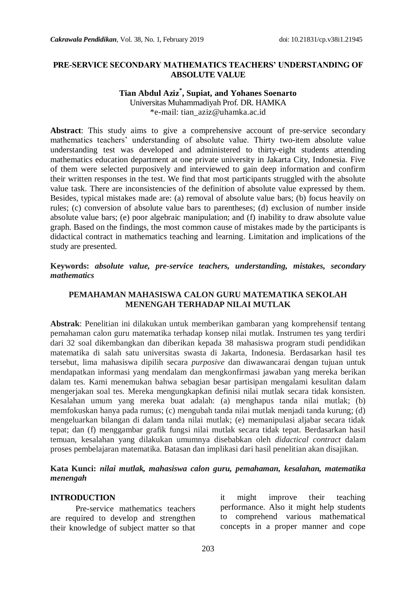#### **PRE-SERVICE SECONDARY MATHEMATICS TEACHERS' UNDERSTANDING OF ABSOLUTE VALUE**

## **Tian Abdul Aziz\* , Supiat, and Yohanes Soenarto**

Universitas Muhammadiyah Prof. DR. HAMKA \*e-mail: tian\_aziz@uhamka.ac.id

**Abstract**: This study aims to give a comprehensive account of pre-service secondary mathematics teachers' understanding of absolute value. Thirty two-item absolute value understanding test was developed and administered to thirty-eight students attending mathematics education department at one private university in Jakarta City, Indonesia. Five of them were selected purposively and interviewed to gain deep information and confirm their written responses in the test. We find that most participants struggled with the absolute value task. There are inconsistencies of the definition of absolute value expressed by them. Besides, typical mistakes made are: (a) removal of absolute value bars; (b) focus heavily on rules; (c) conversion of absolute value bars to parentheses; (d) exclusion of number inside absolute value bars; (e) poor algebraic manipulation; and (f) inability to draw absolute value graph. Based on the findings, the most common cause of mistakes made by the participants is didactical contract in mathematics teaching and learning. Limitation and implications of the study are presented.

**Keywords:** *absolute value, pre-service teachers, understanding, mistakes, secondary mathematics*

### **PEMAHAMAN MAHASISWA CALON GURU MATEMATIKA SEKOLAH MENENGAH TERHADAP NILAI MUTLAK**

**Abstrak**: Penelitian ini dilakukan untuk memberikan gambaran yang komprehensif tentang pemahaman calon guru matematika terhadap konsep nilai mutlak. Instrumen tes yang terdiri dari 32 soal dikembangkan dan diberikan kepada 38 mahasiswa program studi pendidikan matematika di salah satu universitas swasta di Jakarta, Indonesia. Berdasarkan hasil tes tersebut, lima mahasiswa dipilih secara *purposive* dan diwawancarai dengan tujuan untuk mendapatkan informasi yang mendalam dan mengkonfirmasi jawaban yang mereka berikan dalam tes. Kami menemukan bahwa sebagian besar partisipan mengalami kesulitan dalam mengerjakan soal tes. Mereka mengungkapkan definisi nilai mutlak secara tidak konsisten. Kesalahan umum yang mereka buat adalah: (a) menghapus tanda nilai mutlak; (b) memfokuskan hanya pada rumus; (c) mengubah tanda nilai mutlak menjadi tanda kurung; (d) mengeluarkan bilangan di dalam tanda nilai mutlak; (e) memanipulasi aljabar secara tidak tepat; dan (f) menggambar grafik fungsi nilai mutlak secara tidak tepat. Berdasarkan hasil temuan, kesalahan yang dilakukan umumnya disebabkan oleh *didactical contract* dalam proses pembelajaran matematika. Batasan dan implikasi dari hasil penelitian akan disajikan.

#### **Kata Kunci:** *nilai mutlak, mahasiswa calon guru, pemahaman, kesalahan, matematika menengah*

#### **INTRODUCTION**

Pre-service mathematics teachers are required to develop and strengthen their knowledge of subject matter so that it might improve their teaching performance. Also it might help students to comprehend various mathematical concepts in a proper manner and cope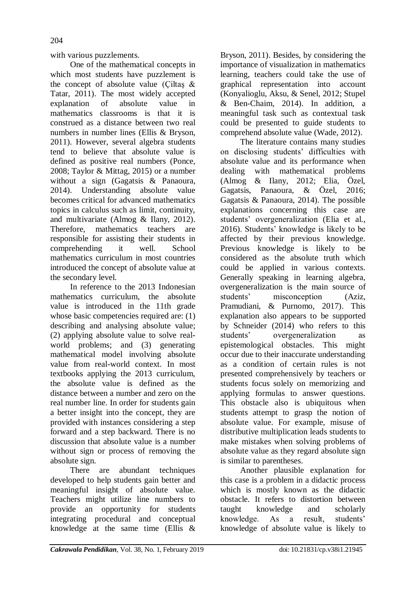with various puzzlements.

One of the mathematical concepts in which most students have puzzlement is the concept of absolute value (Ciltas  $\&$ Tatar, 2011). The most widely accepted explanation of absolute value in mathematics classrooms is that it is construed as a distance between two real numbers in number lines (Ellis & Bryson, 2011). However, several algebra students tend to believe that absolute value is defined as positive real numbers (Ponce, 2008; Taylor & Mittag, 2015) or a number without a sign (Gagatsis & Panaoura, 2014). Understanding absolute value becomes critical for advanced mathematics topics in calculus such as limit, continuity, and multivariate (Almog & Ilany, 2012). Therefore, mathematics teachers are responsible for assisting their students in comprehending it well. School mathematics curriculum in most countries introduced the concept of absolute value at the secondary level.

In reference to the 2013 Indonesian mathematics curriculum, the absolute value is introduced in the 11th grade whose basic competencies required are: (1) describing and analysing absolute value; (2) applying absolute value to solve realworld problems; and (3) generating mathematical model involving absolute value from real-world context. In most textbooks applying the 2013 curriculum, the absolute value is defined as the distance between a number and zero on the real number line. In order for students gain a better insight into the concept, they are provided with instances considering a step forward and a step backward. There is no discussion that absolute value is a number without sign or process of removing the absolute sign.

There are abundant techniques developed to help students gain better and meaningful insight of absolute value. Teachers might utilize line numbers to provide an opportunity for students integrating procedural and conceptual knowledge at the same time (Ellis &

Bryson, 2011). Besides, by considering the importance of visualization in mathematics learning, teachers could take the use of graphical representation into account (Konyalioglu, Aksu, & Senel, 2012; Stupel & Ben-Chaim, 2014). In addition, a meaningful task such as contextual task could be presented to guide students to comprehend absolute value (Wade, 2012).

The literature contains many studies on disclosing students' difficulties with absolute value and its performance when dealing with mathematical problems (Almog & Ilany, 2012; Elia, Özel, Gagatsis, Panaoura, & Özel, 2016; Gagatsis & Panaoura, 2014). The possible explanations concerning this case are students' overgeneralization (Elia et al., 2016). Students' knowledge is likely to be affected by their previous knowledge. Previous knowledge is likely to be considered as the absolute truth which could be applied in various contexts. Generally speaking in learning algebra, overgeneralization is the main source of students' misconception (Aziz, Pramudiani, & Purnomo, 2017). This explanation also appears to be supported by Schneider (2014) who refers to this students' overgeneralization as epistemological obstacles. This might occur due to their inaccurate understanding as a condition of certain rules is not presented comprehensively by teachers or students focus solely on memorizing and applying formulas to answer questions. This obstacle also is ubiquitous when students attempt to grasp the notion of absolute value. For example, misuse of distributive multiplication leads students to make mistakes when solving problems of absolute value as they regard absolute sign is similar to parentheses.

Another plausible explanation for this case is a problem in a didactic process which is mostly known as the didactic obstacle. It refers to distortion between taught knowledge and scholarly knowledge. As a result, students' knowledge of absolute value is likely to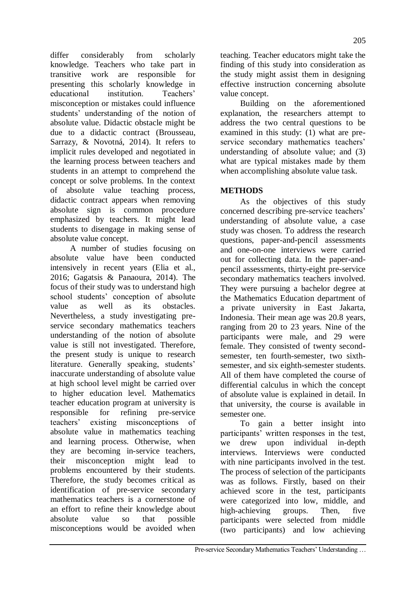differ considerably from scholarly knowledge. Teachers who take part in transitive work are responsible for presenting this scholarly knowledge in educational institution. Teachers' misconception or mistakes could influence students' understanding of the notion of absolute value. Didactic obstacle might be due to a didactic contract (Brousseau, Sarrazy, & Novotná, 2014). It refers to implicit rules developed and negotiated in the learning process between teachers and students in an attempt to comprehend the concept or solve problems. In the context of absolute value teaching process, didactic contract appears when removing absolute sign is common procedure emphasized by teachers. It might lead students to disengage in making sense of absolute value concept.

A number of studies focusing on absolute value have been conducted intensively in recent years (Elia et al., 2016; Gagatsis & Panaoura, 2014). The focus of their study was to understand high school students' conception of absolute value as well as its obstacles. Nevertheless, a study investigating preservice secondary mathematics teachers understanding of the notion of absolute value is still not investigated. Therefore, the present study is unique to research literature. Generally speaking, students' inaccurate understanding of absolute value at high school level might be carried over to higher education level. Mathematics teacher education program at university is responsible for refining pre-service teachers' existing misconceptions of absolute value in mathematics teaching and learning process. Otherwise, when they are becoming in-service teachers, their misconception might lead to problems encountered by their students. Therefore, the study becomes critical as identification of pre-service secondary mathematics teachers is a cornerstone of an effort to refine their knowledge about absolute value so that possible misconceptions would be avoided when

teaching. Teacher educators might take the finding of this study into consideration as the study might assist them in designing effective instruction concerning absolute value concept.

Building on the aforementioned explanation, the researchers attempt to address the two central questions to be examined in this study: (1) what are preservice secondary mathematics teachers' understanding of absolute value; and (3) what are typical mistakes made by them when accomplishing absolute value task.

# **METHODS**

As the objectives of this study concerned describing pre-service teachers' understanding of absolute value, a case study was chosen. To address the research questions, paper-and-pencil assessments and one-on-one interviews were carried out for collecting data. In the paper-andpencil assessments, thirty-eight pre-service secondary mathematics teachers involved. They were pursuing a bachelor degree at the Mathematics Education department of a private university in East Jakarta, Indonesia. Their mean age was 20.8 years, ranging from 20 to 23 years. Nine of the participants were male, and 29 were female. They consisted of twenty secondsemester, ten fourth-semester, two sixthsemester, and six eighth-semester students. All of them have completed the course of differential calculus in which the concept of absolute value is explained in detail. In that university, the course is available in semester one.

To gain a better insight into participants' written responses in the test, we drew upon individual in-depth interviews. Interviews were conducted with nine participants involved in the test. The process of selection of the participants was as follows. Firstly, based on their achieved score in the test, participants were categorized into low, middle, and high-achieving groups. Then, five participants were selected from middle (two participants) and low achieving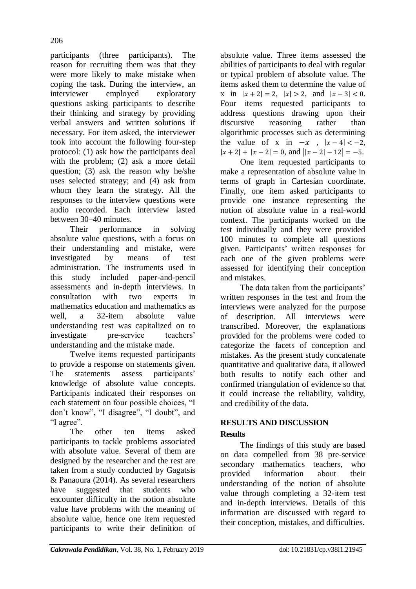participants (three participants). The reason for recruiting them was that they were more likely to make mistake when coping the task. During the interview, an interviewer employed exploratory questions asking participants to describe their thinking and strategy by providing verbal answers and written solutions if necessary. For item asked, the interviewer took into account the following four-step protocol: (1) ask how the participants deal with the problem; (2) ask a more detail question; (3) ask the reason why he/she uses selected strategy; and (4) ask from whom they learn the strategy. All the responses to the interview questions were audio recorded. Each interview lasted between 30–40 minutes.

Their performance in solving absolute value questions, with a focus on their understanding and mistake, were investigated by means of test administration. The instruments used in this study included paper-and-pencil assessments and in-depth interviews. In consultation with two experts in mathematics education and mathematics as well, a 32-item absolute value understanding test was capitalized on to investigate pre-service teachers' understanding and the mistake made.

Twelve items requested participants to provide a response on statements given. The statements assess participants' knowledge of absolute value concepts. Participants indicated their responses on each statement on four possible choices, "I don't know", "I disagree", "I doubt", and "I agree".

The other ten items asked participants to tackle problems associated with absolute value. Several of them are designed by the researcher and the rest are taken from a study conducted by Gagatsis & Panaoura (2014). As several researchers have suggested that students who encounter difficulty in the notion absolute value have problems with the meaning of absolute value, hence one item requested participants to write their definition of absolute value. Three items assessed the abilities of participants to deal with regular or typical problem of absolute value. The items asked them to determine the value of x in  $|x+2| = 2$ ,  $|x| > 2$ , and  $|x-3| < 0$ . Four items requested participants to address questions drawing upon their discursive reasoning rather than algorithmic processes such as determining the value of x in  $-x$ ,  $|x-4| < -2$ .  $|x + 2| + |x - 2| = 0$ , and  $||x - 2| - 12| = -5$ .

One item requested participants to make a representation of absolute value in terms of graph in Cartesian coordinate. Finally, one item asked participants to provide one instance representing the notion of absolute value in a real-world context. The participants worked on the test individually and they were provided 100 minutes to complete all questions given. Participants' written responses for each one of the given problems were assessed for identifying their conception and mistakes.

The data taken from the participants' written responses in the test and from the interviews were analyzed for the purpose of description. All interviews were transcribed. Moreover, the explanations provided for the problems were coded to categorize the facets of conception and mistakes. As the present study concatenate quantitative and qualitative data, it allowed both results to notify each other and confirmed triangulation of evidence so that it could increase the reliability, validity, and credibility of the data.

# **RESULTS AND DISCUSSION Results**

The findings of this study are based on data compelled from 38 pre-service secondary mathematics teachers, who provided information about their understanding of the notion of absolute value through completing a 32-item test and in-depth interviews. Details of this information are discussed with regard to their conception, mistakes, and difficulties.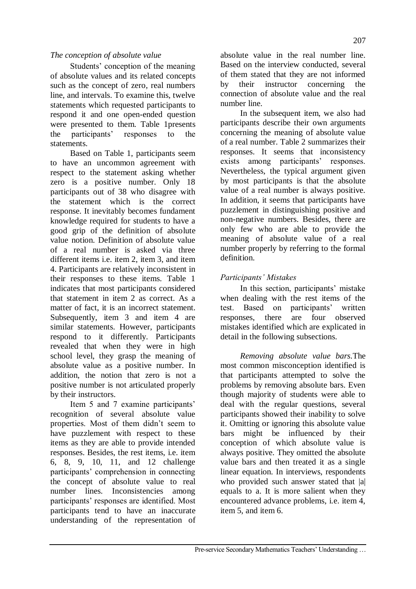### *The conception of absolute value*

Students' conception of the meaning of absolute values and its related concepts such as the concept of zero, real numbers line, and intervals. To examine this, twelve statements which requested participants to respond it and one open-ended question were presented to them. Table 1presents the participants' responses to the statements.

Based on Table 1, participants seem to have an uncommon agreement with respect to the statement asking whether zero is a positive number. Only 18 participants out of 38 who disagree with the statement which is the correct response. It inevitably becomes fundament knowledge required for students to have a good grip of the definition of absolute value notion. Definition of absolute value of a real number is asked via three different items i.e. item 2, item 3, and item 4. Participants are relatively inconsistent in their responses to these items. Table 1 indicates that most participants considered that statement in item 2 as correct. As a matter of fact, it is an incorrect statement. Subsequently, item 3 and item 4 are similar statements. However, participants respond to it differently. Participants revealed that when they were in high school level, they grasp the meaning of absolute value as a positive number. In addition, the notion that zero is not a positive number is not articulated properly by their instructors.

Item 5 and 7 examine participants' recognition of several absolute value properties. Most of them didn't seem to have puzzlement with respect to these items as they are able to provide intended responses. Besides, the rest items, i.e. item 6, 8, 9, 10, 11, and 12 challenge participants' comprehension in connecting the concept of absolute value to real number lines. Inconsistencies among participants' responses are identified. Most participants tend to have an inaccurate understanding of the representation of

absolute value in the real number line. Based on the interview conducted, several of them stated that they are not informed by their instructor concerning the connection of absolute value and the real number line.

In the subsequent item, we also had participants describe their own arguments concerning the meaning of absolute value of a real number. Table 2 summarizes their responses. It seems that inconsistency exists among participants' responses. Nevertheless, the typical argument given by most participants is that the absolute value of a real number is always positive. In addition, it seems that participants have puzzlement in distinguishing positive and non-negative numbers. Besides, there are only few who are able to provide the meaning of absolute value of a real number properly by referring to the formal definition.

# *Participants' Mistakes*

In this section, participants' mistake when dealing with the rest items of the test. Based on participants' written responses, there are four observed mistakes identified which are explicated in detail in the following subsections.

*Removing absolute value bars.*The most common misconception identified is that participants attempted to solve the problems by removing absolute bars. Even though majority of students were able to deal with the regular questions, several participants showed their inability to solve it. Omitting or ignoring this absolute value bars might be influenced by their conception of which absolute value is always positive. They omitted the absolute value bars and then treated it as a single linear equation. In interviews, respondents who provided such answer stated that |a| equals to a. It is more salient when they encountered advance problems, i.e. item 4, item 5, and item 6.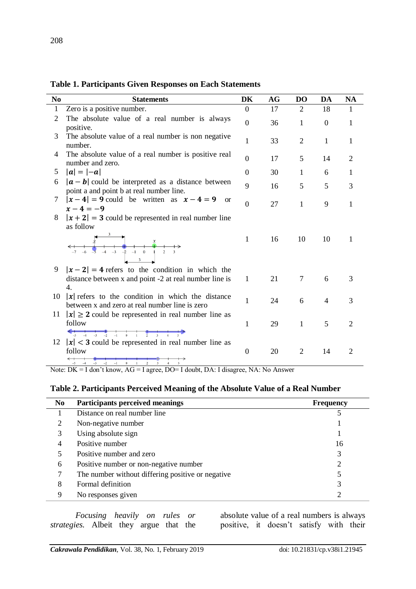| N <sub>0</sub> | <b>Statements</b>                                                                                                              | DK               | <b>AG</b> | D <sub>O</sub> | DA             | <b>NA</b>      |
|----------------|--------------------------------------------------------------------------------------------------------------------------------|------------------|-----------|----------------|----------------|----------------|
| 1              | Zero is a positive number.                                                                                                     | $\overline{0}$   | 17        | $\overline{2}$ | 18             | 1              |
| 2              | The absolute value of a real number is always<br>positive.                                                                     | $\boldsymbol{0}$ | 36        | $\mathbf{1}$   | $\mathbf{0}$   | 1              |
| 3              | The absolute value of a real number is non negative<br>number.                                                                 | $\mathbf{1}$     | 33        | $\overline{2}$ | 1              | 1              |
| 4              | The absolute value of a real number is positive real<br>number and zero.                                                       | $\boldsymbol{0}$ | 17        | 5              | 14             | 2              |
| 5              | $ a  =  -a $                                                                                                                   | $\overline{0}$   | 30        | 1              | 6              | 1              |
| 6              | $ a - b $ could be interpreted as a distance between<br>point a and point b at real number line.                               | 9                | 16        | 5              | 5              | 3              |
| 7              | $ x-4  = 9$ could be written as $x - 4 = 9$ or<br>$x - 4 = -9$                                                                 | $\overline{0}$   | 27        | $\mathbf{1}$   | 9              | 1              |
| 8              | $ x+2  = 3$ could be represented in real number line<br>as follow                                                              |                  |           |                |                |                |
|                | $x$<br>$-4$ $-3$ $-2$ $-1$ 0 1 2 3<br>$\frac{3}{2}$                                                                            | $\mathbf{1}$     | 16        | 10             | 10             | 1              |
| 9              | $ x-2  = 4$ refers to the condition in which the<br>distance between x and point -2 at real number line is<br>$\mathbf{4}_{1}$ | $\mathbf{1}$     | 21        | 7              | 6              | 3              |
| 10             | $ x $ refers to the condition in which the distance<br>between x and zero at real number line is zero                          | $\mathbf{1}$     | 24        | 6              | $\overline{4}$ | 3              |
| 11             | $ x  \ge 2$ could be represented in real number line as<br>follow                                                              | $\mathbf{1}$     | 29        | $\mathbf{1}$   | 5              | 2              |
| 12             | $-5$ $-4$ $-3$ $-2$ $-1$ 0 1 2 3 4 5<br>$ x $ < 3 could be represented in real number line as                                  |                  |           |                |                |                |
|                | follow<br>$-2$<br>$-1$<br>$\mathbf{0}$<br>$-3$<br>$\overline{c}$<br>$3 -$<br>$-4$                                              | $\boldsymbol{0}$ | 20        | $\overline{2}$ | 14             | $\overline{2}$ |

**Table 1. Participants Given Responses on Each Statements**

Note: DK = I don't know, AG = I agree, DO= I doubt, DA: I disagree, NA: No Answer

#### **Table 2. Participants Perceived Meaning of the Absolute Value of a Real Number**

| <b>Participants perceived meanings</b>            | <b>Frequency</b> |
|---------------------------------------------------|------------------|
| Distance on real number line                      |                  |
| Non-negative number                               |                  |
| Using absolute sign                               |                  |
| Positive number                                   | 16               |
| Positive number and zero                          | 3                |
| Positive number or non-negative number            | 2                |
| The number without differing positive or negative |                  |
| Formal definition                                 | 3                |
| No responses given                                | 2                |
|                                                   |                  |

*Focusing heavily on rules or strategies.* Albeit they argue that the

absolute value of a real numbers is always positive, it doesn't satisfy with their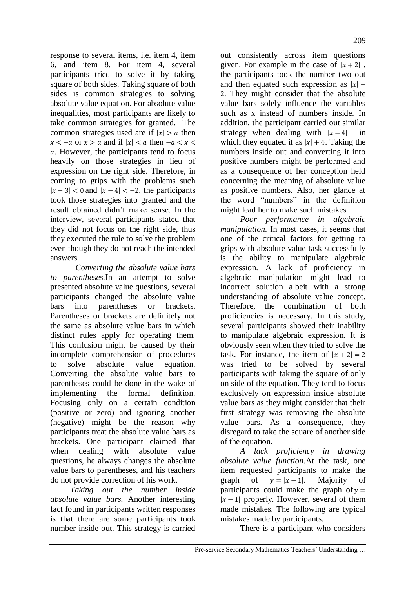response to several items, i.e. item 4, item 6, and item 8. For item 4, several participants tried to solve it by taking square of both sides. Taking square of both sides is common strategies to solving absolute value equation. For absolute value inequalities, most participants are likely to take common strategies for granted. The common strategies used are if  $|x| > a$  then  $x < -a$  or  $x > a$  and if  $|x| < a$  then  $-a < x < a$  . However, the participants tend to focus heavily on those strategies in lieu of expression on the right side. Therefore, in coming to grips with the problems such  $|x-3| < 0$  and  $|x-4| < -2$ , the participants took those strategies into granted and the result obtained didn't make sense. In the interview, several participants stated that they did not focus on the right side, thus they executed the rule to solve the problem even though they do not reach the intended answers.

*Converting the absolute value bars to parentheses.*In an attempt to solve presented absolute value questions, several participants changed the absolute value bars into parentheses or brackets. Parentheses or brackets are definitely not the same as absolute value bars in which distinct rules apply for operating them. This confusion might be caused by their incomplete comprehension of procedures to solve absolute value equation. Converting the absolute value bars to parentheses could be done in the wake of implementing the formal definition. Focusing only on a certain condition (positive or zero) and ignoring another (negative) might be the reason why participants treat the absolute value bars as brackets. One participant claimed that when dealing with absolute value questions, he always changes the absolute value bars to parentheses, and his teachers do not provide correction of his work.

*Taking out the number inside absolute value bars.* Another interesting fact found in participants written responses is that there are some participants took number inside out. This strategy is carried

out consistently across item questions given. For example in the case of  $|x+2|$ , the participants took the number two out and then equated such expression as  $|x|$  + . They might consider that the absolute value bars solely influence the variables such as x instead of numbers inside. In addition, the participant carried out similar strategy when dealing with  $|x-4|$  in which they equated it as  $|x| + 4$ . Taking the numbers inside out and converting it into positive numbers might be performed and as a consequence of her conception held concerning the meaning of absolute value as positive numbers. Also, her glance at the word "numbers" in the definition might lead her to make such mistakes.

*Poor performance in algebraic manipulation.* In most cases, it seems that one of the critical factors for getting to grips with absolute value task successfully is the ability to manipulate algebraic expression. A lack of proficiency in algebraic manipulation might lead to incorrect solution albeit with a strong understanding of absolute value concept. Therefore, the combination of both proficiencies is necessary. In this study, several participants showed their inability to manipulate algebraic expression. It is obviously seen when they tried to solve the task. For instance, the item of  $|x+2|=2$ was tried to be solved by several participants with taking the square of only on side of the equation. They tend to focus exclusively on expression inside absolute value bars as they might consider that their first strategy was removing the absolute value bars. As a consequence, they disregard to take the square of another side of the equation.

*A lack proficiency in drawing absolute value function.*At the task, one item requested participants to make the graph of  $y = |x-1|$ . Majority of participants could make the graph of  $y =$  $|x-1|$  properly. However, several of them made mistakes. The following are typical mistakes made by participants.

There is a participant who considers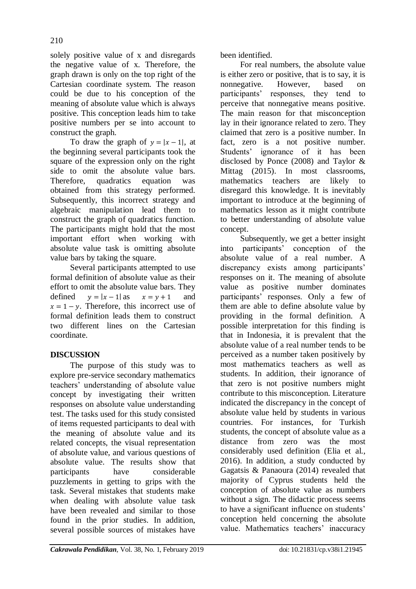solely positive value of x and disregards the negative value of x. Therefore, the graph drawn is only on the top right of the Cartesian coordinate system. The reason could be due to his conception of the meaning of absolute value which is always positive. This conception leads him to take positive numbers per se into account to construct the graph.

To draw the graph of  $y = |x - 1|$ , at the beginning several participants took the square of the expression only on the right side to omit the absolute value bars. Therefore, quadratics equation was obtained from this strategy performed. Subsequently, this incorrect strategy and algebraic manipulation lead them to construct the graph of quadratics function. The participants might hold that the most important effort when working with absolute value task is omitting absolute value bars by taking the square.

Several participants attempted to use formal definition of absolute value as their effort to omit the absolute value bars. They defined  $v = |x - 1|$  as  $x = v + 1$  and  $x = 1 - y$ . Therefore, this incorrect use of formal definition leads them to construct two different lines on the Cartesian coordinate.

# **DISCUSSION**

The purpose of this study was to explore pre-service secondary mathematics teachers' understanding of absolute value concept by investigating their written responses on absolute value understanding test. The tasks used for this study consisted of items requested participants to deal with the meaning of absolute value and its related concepts, the visual representation of absolute value, and various questions of absolute value. The results show that participants have considerable puzzlements in getting to grips with the task. Several mistakes that students make when dealing with absolute value task have been revealed and similar to those found in the prior studies. In addition, several possible sources of mistakes have

been identified.

For real numbers, the absolute value is either zero or positive, that is to say, it is nonnegative. However, based on participants' responses, they tend to perceive that nonnegative means positive. The main reason for that misconception lay in their ignorance related to zero. They claimed that zero is a positive number. In fact, zero is a not positive number. Students' ignorance of it has been disclosed by Ponce (2008) and Taylor & Mittag (2015). In most classrooms, mathematics teachers are likely to disregard this knowledge. It is inevitably important to introduce at the beginning of mathematics lesson as it might contribute to better understanding of absolute value concept.

Subsequently, we get a better insight into participants' conception of the absolute value of a real number. A discrepancy exists among participants' responses on it. The meaning of absolute value as positive number dominates participants' responses. Only a few of them are able to define absolute value by providing in the formal definition. A possible interpretation for this finding is that in Indonesia, it is prevalent that the absolute value of a real number tends to be perceived as a number taken positively by most mathematics teachers as well as students. In addition, their ignorance of that zero is not positive numbers might contribute to this misconception. Literature indicated the discrepancy in the concept of absolute value held by students in various countries. For instances, for Turkish students, the concept of absolute value as a distance from zero was the most considerably used definition (Elia et al., 2016). In addition, a study conducted by Gagatsis & Panaoura (2014) revealed that majority of Cyprus students held the conception of absolute value as numbers without a sign. The didactic process seems to have a significant influence on students' conception held concerning the absolute value. Mathematics teachers' inaccuracy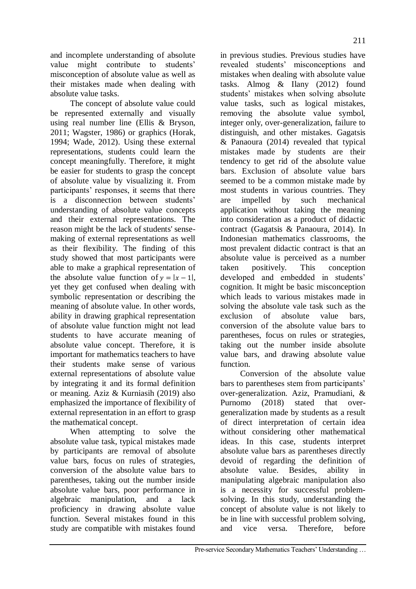and incomplete understanding of absolute value might contribute to students' misconception of absolute value as well as their mistakes made when dealing with absolute value tasks.

The concept of absolute value could be represented externally and visually using real number line (Ellis & Bryson, 2011; Wagster, 1986) or graphics (Horak, 1994; Wade, 2012). Using these external representations, students could learn the concept meaningfully. Therefore, it might be easier for students to grasp the concept of absolute value by visualizing it. From participants' responses, it seems that there is a disconnection between students' understanding of absolute value concepts and their external representations. The reason might be the lack of students' sensemaking of external representations as well as their flexibility. The finding of this study showed that most participants were able to make a graphical representation of the absolute value function of  $y = |x - 1|$ , yet they get confused when dealing with symbolic representation or describing the meaning of absolute value. In other words, ability in drawing graphical representation of absolute value function might not lead students to have accurate meaning of absolute value concept. Therefore, it is important for mathematics teachers to have their students make sense of various external representations of absolute value by integrating it and its formal definition or meaning. Aziz & Kurniasih (2019) also emphasized the importance of flexibility of external representation in an effort to grasp the mathematical concept.

When attempting to solve the absolute value task, typical mistakes made by participants are removal of absolute value bars, focus on rules of strategies, conversion of the absolute value bars to parentheses, taking out the number inside absolute value bars, poor performance in algebraic manipulation, and a lack proficiency in drawing absolute value function. Several mistakes found in this study are compatible with mistakes found

in previous studies. Previous studies have revealed students' misconceptions and mistakes when dealing with absolute value tasks. Almog & Ilany (2012) found students' mistakes when solving absolute value tasks, such as logical mistakes, removing the absolute value symbol, integer only, over-generalization, failure to distinguish, and other mistakes. Gagatsis & Panaoura (2014) revealed that typical mistakes made by students are their tendency to get rid of the absolute value bars. Exclusion of absolute value bars seemed to be a common mistake made by most students in various countries. They are impelled by such mechanical application without taking the meaning into consideration as a product of didactic contract (Gagatsis & Panaoura, 2014). In Indonesian mathematics classrooms, the most prevalent didactic contract is that an absolute value is perceived as a number taken positively. This conception developed and embedded in students' cognition. It might be basic misconception which leads to various mistakes made in solving the absolute vale task such as the exclusion of absolute value bars, conversion of the absolute value bars to parentheses, focus on rules or strategies, taking out the number inside absolute value bars, and drawing absolute value function.

Conversion of the absolute value bars to parentheses stem from participants' over-generalization. Aziz, Pramudiani, & Purnomo (2018) stated that overgeneralization made by students as a result of direct interpretation of certain idea without considering other mathematical ideas. In this case, students interpret absolute value bars as parentheses directly devoid of regarding the definition of absolute value. Besides, ability in manipulating algebraic manipulation also is a necessity for successful problemsolving. In this study, understanding the concept of absolute value is not likely to be in line with successful problem solving, and vice versa. Therefore, before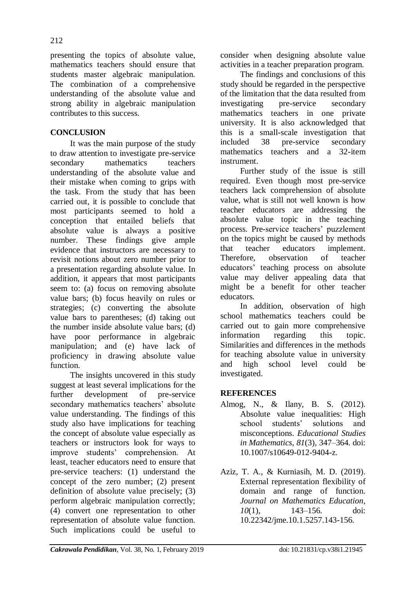presenting the topics of absolute value, mathematics teachers should ensure that students master algebraic manipulation. The combination of a comprehensive understanding of the absolute value and strong ability in algebraic manipulation contributes to this success.

## **CONCLUSION**

It was the main purpose of the study to draw attention to investigate pre-service secondary mathematics teachers understanding of the absolute value and their mistake when coming to grips with the task. From the study that has been carried out, it is possible to conclude that most participants seemed to hold a conception that entailed beliefs that absolute value is always a positive number. These findings give ample evidence that instructors are necessary to revisit notions about zero number prior to a presentation regarding absolute value. In addition, it appears that most participants seem to: (a) focus on removing absolute value bars; (b) focus heavily on rules or strategies; (c) converting the absolute value bars to parentheses; (d) taking out the number inside absolute value bars; (d) have poor performance in algebraic manipulation; and (e) have lack of proficiency in drawing absolute value function.

The insights uncovered in this study suggest at least several implications for the further development of pre-service secondary mathematics teachers' absolute value understanding. The findings of this study also have implications for teaching the concept of absolute value especially as teachers or instructors look for ways to improve students' comprehension. At least, teacher educators need to ensure that pre-service teachers: (1) understand the concept of the zero number; (2) present definition of absolute value precisely; (3) perform algebraic manipulation correctly; (4) convert one representation to other representation of absolute value function. Such implications could be useful to consider when designing absolute value activities in a teacher preparation program.

The findings and conclusions of this study should be regarded in the perspective of the limitation that the data resulted from investigating pre-service secondary mathematics teachers in one private university. It is also acknowledged that this is a small-scale investigation that included 38 pre-service secondary mathematics teachers and a 32-item instrument.

Further study of the issue is still required. Even though most pre-service teachers lack comprehension of absolute value, what is still not well known is how teacher educators are addressing the absolute value topic in the teaching process. Pre-service teachers' puzzlement on the topics might be caused by methods that teacher educators implement. Therefore, observation of teacher educators' teaching process on absolute value may deliver appealing data that might be a benefit for other teacher educators.

In addition, observation of high school mathematics teachers could be carried out to gain more comprehensive information regarding this topic. Similarities and differences in the methods for teaching absolute value in university and high school level could be investigated.

### **REFERENCES**

- Almog, N., & Ilany, B. S. (2012). Absolute value inequalities: High school students' solutions and misconceptions. *Educational Studies in Mathematics*, *81*(3), 347–364. doi: 10.1007/s10649-012-9404-z.
- Aziz, T. A., & Kurniasih, M. D. (2019). External representation flexibility of domain and range of function. *Journal on Mathematics Education, 10*(1), 143–156. doi: 10.22342/jme.10.1.5257.143-156.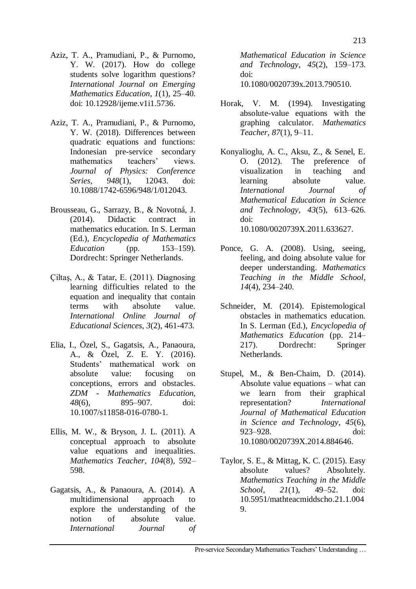- Aziz, T. A., Pramudiani, P., & Purnomo, Y. W. (2017). How do college students solve logarithm questions? *International Journal on Emerging Mathematics Education*, *1*(1), 25–40. doi: 10.12928/ijeme.v1i1.5736.
- Aziz, T. A., Pramudiani, P., & Purnomo, Y. W. (2018). Differences between quadratic equations and functions: Indonesian pre-service secondary mathematics teachers' views. *Journal of Physics: Conference Series*, *948*(1), 12043. doi: [10.1088/1742-6596/948/1/012043.](https://doi.org/10.1088/1742-6596/948/1/012043)
- Brousseau, G., Sarrazy, B., & Novotná, J. (2014). Didactic contract in mathematics education. In S. Lerman (Ed.), *Encyclopedia of Mathematics Education* (pp. 153–159). Dordrecht: Springer Netherlands.
- Ciltas, A., & Tatar, E.  $(2011)$ . Diagnosing learning difficulties related to the equation and inequality that contain terms with absolute value. *International Online Journal of Educational Sciences*, *3*(2), 461-473.
- Elia, I., Özel, S., Gagatsis, A., Panaoura, A., & Özel, Z. E. Y. (2016). Students' mathematical work on absolute value: focusing on conceptions, errors and obstacles. *ZDM - Mathematics Education*, *48*(6), 895–907. doi: 10.1007/s11858-016-0780-1.
- Ellis, M. W., & Bryson, J. L. (2011). A conceptual approach to absolute value equations and inequalities. *Mathematics Teacher*, *104*(8), 592– 598.
- Gagatsis, A., & Panaoura, A. (2014). A multidimensional approach to explore the understanding of the notion of absolute value. *International Journal of*

*Mathematical Education in Science and Technology*, *45*(2), 159–173. doi:

10.1080/0020739x.2013.790510.

- Horak, V. M. (1994). Investigating absolute-value equations with the graphing calculator. *Mathematics Teacher*, *87*(1), 9–11.
- Konyalioglu, A. C., Aksu, Z., & Senel, E. O. (2012). The preference of visualization in teaching and learning absolute value. *International Journal of Mathematical Education in Science and Technology*, *43*(5), 613–626. doi: 10.1080/0020739X.2011.633627.
- Ponce, G. A. (2008). Using, seeing, feeling, and doing absolute value for deeper understanding. *Mathematics Teaching in the Middle School*, *14*(4), 234–240.
- Schneider, M. (2014). Epistemological obstacles in mathematics education. In S. Lerman (Ed.), *Encyclopedia of Mathematics Education* (pp. 214– 217). Dordrecht: Springer Netherlands.
- Stupel, M., & Ben-Chaim, D. (2014). Absolute value equations – what can we learn from their graphical representation? *International Journal of Mathematical Education in Science and Technology*, *45*(6), 923–928. doi: 10.1080/0020739X.2014.884646.
- Taylor, S. E., & Mittag, K. C. (2015). Easy absolute values? Absolutely. *Mathematics Teaching in the Middle School*, *21*(1), 49–52. doi: 10.5951/mathteacmiddscho.21.1.004 9.